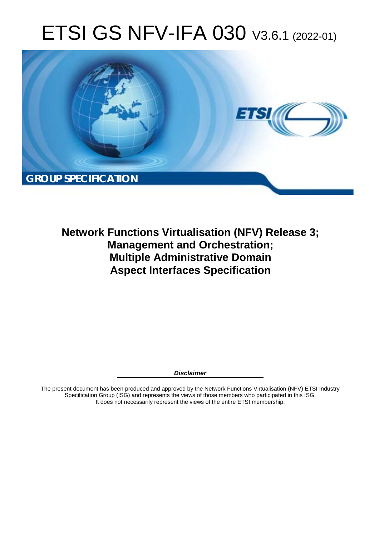# ETSI GS NFV-IFA 030 V3.6.1 (2022-01)



**Network Functions Virtualisation (NFV) Release 3; Management and Orchestration; Multiple Administrative Domain Aspect Interfaces Specification** 

*Disclaimer* 

The present document has been produced and approved by the Network Functions Virtualisation (NFV) ETSI Industry Specification Group (ISG) and represents the views of those members who participated in this ISG. It does not necessarily represent the views of the entire ETSI membership.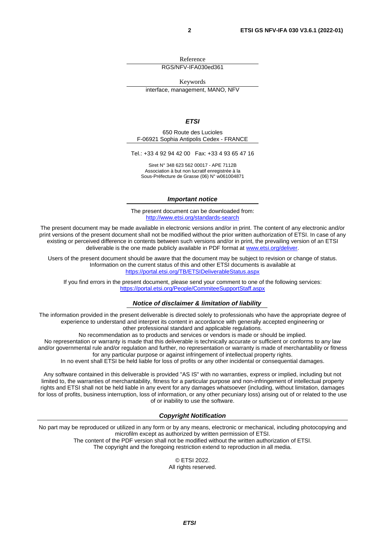Reference

RGS/NFV-IFA030ed361

Keywords

interface, management, MANO, NFV

#### *ETSI*

650 Route des Lucioles F-06921 Sophia Antipolis Cedex - FRANCE

Tel.: +33 4 92 94 42 00 Fax: +33 4 93 65 47 16

Siret N° 348 623 562 00017 - APE 7112B Association à but non lucratif enregistrée à la Sous-Préfecture de Grasse (06) N° w061004871

#### *Important notice*

The present document can be downloaded from: <http://www.etsi.org/standards-search>

The present document may be made available in electronic versions and/or in print. The content of any electronic and/or print versions of the present document shall not be modified without the prior written authorization of ETSI. In case of any existing or perceived difference in contents between such versions and/or in print, the prevailing version of an ETSI deliverable is the one made publicly available in PDF format at [www.etsi.org/deliver](http://www.etsi.org/deliver).

Users of the present document should be aware that the document may be subject to revision or change of status. Information on the current status of this and other ETSI documents is available at <https://portal.etsi.org/TB/ETSIDeliverableStatus.aspx>

If you find errors in the present document, please send your comment to one of the following services: <https://portal.etsi.org/People/CommiteeSupportStaff.aspx>

#### *Notice of disclaimer & limitation of liability*

The information provided in the present deliverable is directed solely to professionals who have the appropriate degree of experience to understand and interpret its content in accordance with generally accepted engineering or other professional standard and applicable regulations.

No recommendation as to products and services or vendors is made or should be implied.

No representation or warranty is made that this deliverable is technically accurate or sufficient or conforms to any law and/or governmental rule and/or regulation and further, no representation or warranty is made of merchantability or fitness for any particular purpose or against infringement of intellectual property rights.

In no event shall ETSI be held liable for loss of profits or any other incidental or consequential damages.

Any software contained in this deliverable is provided "AS IS" with no warranties, express or implied, including but not limited to, the warranties of merchantability, fitness for a particular purpose and non-infringement of intellectual property rights and ETSI shall not be held liable in any event for any damages whatsoever (including, without limitation, damages for loss of profits, business interruption, loss of information, or any other pecuniary loss) arising out of or related to the use of or inability to use the software.

#### *Copyright Notification*

No part may be reproduced or utilized in any form or by any means, electronic or mechanical, including photocopying and microfilm except as authorized by written permission of ETSI. The content of the PDF version shall not be modified without the written authorization of ETSI.

The copyright and the foregoing restriction extend to reproduction in all media.

© ETSI 2022. All rights reserved.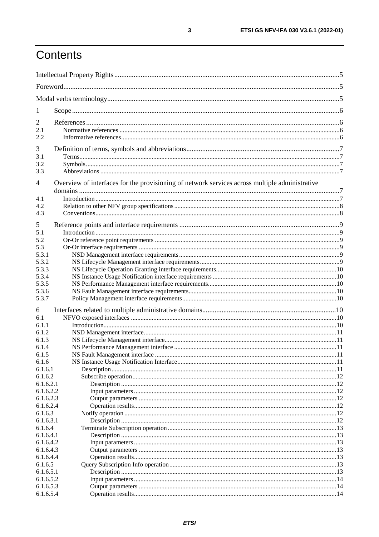# Contents

| 1                      |                                                                                                |  |
|------------------------|------------------------------------------------------------------------------------------------|--|
| $\overline{2}$         |                                                                                                |  |
| 2.1                    |                                                                                                |  |
| 2.2                    |                                                                                                |  |
|                        |                                                                                                |  |
| 3<br>3.1               |                                                                                                |  |
| 3.2                    |                                                                                                |  |
| 3.3                    |                                                                                                |  |
|                        |                                                                                                |  |
| $\overline{4}$         | Overview of interfaces for the provisioning of network services across multiple administrative |  |
| 4.1                    |                                                                                                |  |
| 4.2                    |                                                                                                |  |
| 4.3                    |                                                                                                |  |
| 5                      |                                                                                                |  |
| 5.1                    |                                                                                                |  |
| 5.2                    |                                                                                                |  |
| 5.3                    |                                                                                                |  |
| 5.3.1                  |                                                                                                |  |
| 5.3.2                  |                                                                                                |  |
| 5.3.3                  |                                                                                                |  |
| 5.3.4                  |                                                                                                |  |
| 5.3.5                  |                                                                                                |  |
| 5.3.6                  |                                                                                                |  |
| 5.3.7                  |                                                                                                |  |
| 6                      |                                                                                                |  |
| 6.1                    |                                                                                                |  |
| 6.1.1                  |                                                                                                |  |
| 6.1.2                  |                                                                                                |  |
| 6.1.3                  |                                                                                                |  |
| 6.1.4                  |                                                                                                |  |
| 6.1.5                  |                                                                                                |  |
| 6.1.6<br>6.1.6.1       |                                                                                                |  |
| 6.1.6.2                |                                                                                                |  |
| 6.1.6.2.1              |                                                                                                |  |
| 6.1.6.2.2              |                                                                                                |  |
| 6.1.6.2.3              |                                                                                                |  |
| 6.1.6.2.4              |                                                                                                |  |
| 6.1.6.3                |                                                                                                |  |
| 6.1.6.3.1              |                                                                                                |  |
| 6.1.6.4                |                                                                                                |  |
| 6.1.6.4.1              |                                                                                                |  |
| 6.1.6.4.2              |                                                                                                |  |
| 6.1.6.4.3              |                                                                                                |  |
| 6.1.6.4.4              |                                                                                                |  |
| 6.1.6.5                |                                                                                                |  |
| 6.1.6.5.1<br>6.1.6.5.2 |                                                                                                |  |
| 6.1.6.5.3              |                                                                                                |  |
| 6.1.6.5.4              |                                                                                                |  |
|                        |                                                                                                |  |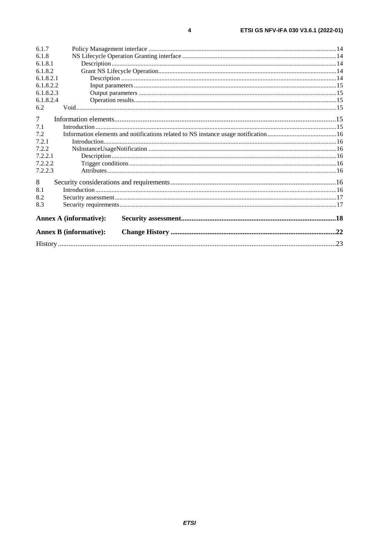|           |                               | .23 |
|-----------|-------------------------------|-----|
|           | <b>Annex B (informative):</b> |     |
|           | <b>Annex A (informative):</b> |     |
| 8.3       |                               |     |
| 8.2       |                               |     |
| 8.1       |                               |     |
| 8         |                               |     |
| 7.2.2.3   |                               |     |
| 7.2.2.2   |                               |     |
| 7.2.2.1   |                               |     |
| 7.2.2     |                               |     |
| 7.2.1     |                               |     |
| 7.2       |                               |     |
| 7.1       |                               |     |
| 7         |                               |     |
| 6.2       |                               |     |
| 6.1.8.2.4 |                               |     |
| 6.1.8.2.3 |                               |     |
| 6.1.8.2.2 |                               |     |
| 6.1.8.2.1 |                               |     |
| 6.1.8.2   |                               |     |
| 6.1.8.1   |                               |     |
| 6.1.8     |                               |     |
| 6.1.7     |                               |     |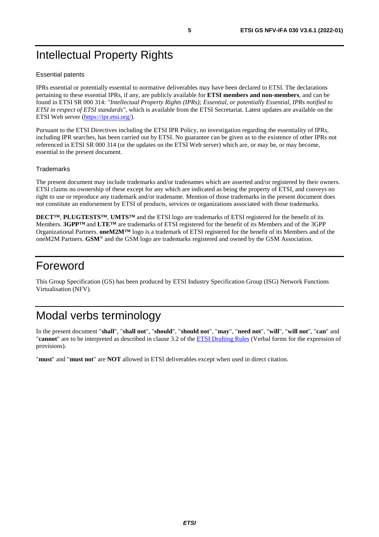# <span id="page-4-0"></span>Intellectual Property Rights

#### Essential patents

IPRs essential or potentially essential to normative deliverables may have been declared to ETSI. The declarations pertaining to these essential IPRs, if any, are publicly available for **ETSI members and non-members**, and can be found in ETSI SR 000 314: *"Intellectual Property Rights (IPRs); Essential, or potentially Essential, IPRs notified to ETSI in respect of ETSI standards"*, which is available from the ETSI Secretariat. Latest updates are available on the ETSI Web server ([https://ipr.etsi.org/\)](https://ipr.etsi.org/).

Pursuant to the ETSI Directives including the ETSI IPR Policy, no investigation regarding the essentiality of IPRs, including IPR searches, has been carried out by ETSI. No guarantee can be given as to the existence of other IPRs not referenced in ETSI SR 000 314 (or the updates on the ETSI Web server) which are, or may be, or may become, essential to the present document.

#### **Trademarks**

The present document may include trademarks and/or tradenames which are asserted and/or registered by their owners. ETSI claims no ownership of these except for any which are indicated as being the property of ETSI, and conveys no right to use or reproduce any trademark and/or tradename. Mention of those trademarks in the present document does not constitute an endorsement by ETSI of products, services or organizations associated with those trademarks.

**DECT™**, **PLUGTESTS™**, **UMTS™** and the ETSI logo are trademarks of ETSI registered for the benefit of its Members. **3GPP™** and **LTE™** are trademarks of ETSI registered for the benefit of its Members and of the 3GPP Organizational Partners. **oneM2M™** logo is a trademark of ETSI registered for the benefit of its Members and of the oneM2M Partners. **GSM**® and the GSM logo are trademarks registered and owned by the GSM Association.

# Foreword

This Group Specification (GS) has been produced by ETSI Industry Specification Group (ISG) Network Functions Virtualisation (NFV).

# Modal verbs terminology

In the present document "**shall**", "**shall not**", "**should**", "**should not**", "**may**", "**need not**", "**will**", "**will not**", "**can**" and "**cannot**" are to be interpreted as described in clause 3.2 of the [ETSI Drafting Rules](https://portal.etsi.org/Services/editHelp!/Howtostart/ETSIDraftingRules.aspx) (Verbal forms for the expression of provisions).

"**must**" and "**must not**" are **NOT** allowed in ETSI deliverables except when used in direct citation.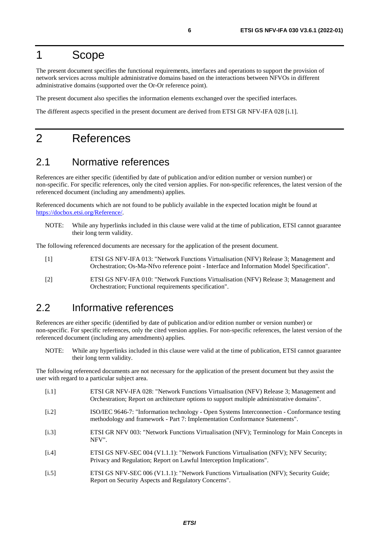# <span id="page-5-0"></span>1 Scope

The present document specifies the functional requirements, interfaces and operations to support the provision of network services across multiple administrative domains based on the interactions between NFVOs in different administrative domains (supported over the Or-Or reference point).

The present document also specifies the information elements exchanged over the specified interfaces.

The different aspects specified in the present document are derived from ETSI GR NFV-IFA 028 [i.1].

# 2 References

### 2.1 Normative references

References are either specific (identified by date of publication and/or edition number or version number) or non-specific. For specific references, only the cited version applies. For non-specific references, the latest version of the referenced document (including any amendments) applies.

Referenced documents which are not found to be publicly available in the expected location might be found at <https://docbox.etsi.org/Reference/>.

NOTE: While any hyperlinks included in this clause were valid at the time of publication, ETSI cannot guarantee their long term validity.

The following referenced documents are necessary for the application of the present document.

- [1] ETSI GS NFV-IFA 013: "Network Functions Virtualisation (NFV) Release 3; Management and Orchestration; Os-Ma-Nfvo reference point - Interface and Information Model Specification".
- [2] ETSI GS NFV-IFA 010: "Network Functions Virtualisation (NFV) Release 3; Management and Orchestration; Functional requirements specification".

# 2.2 Informative references

References are either specific (identified by date of publication and/or edition number or version number) or non-specific. For specific references, only the cited version applies. For non-specific references, the latest version of the referenced document (including any amendments) applies.

NOTE: While any hyperlinks included in this clause were valid at the time of publication, ETSI cannot guarantee their long term validity.

The following referenced documents are not necessary for the application of the present document but they assist the user with regard to a particular subject area.

- [i.1] ETSI GR NFV-IFA 028: "Network Functions Virtualisation (NFV) Release 3; Management and Orchestration; Report on architecture options to support multiple administrative domains".
- [i.2] ISO/IEC 9646-7: "Information technology Open Systems Interconnection Conformance testing methodology and framework - Part 7: Implementation Conformance Statements".
- [i.3] ETSI GR NFV 003: "Network Functions Virtualisation (NFV); Terminology for Main Concepts in NFV".
- [i.4] ETSI GS NFV-SEC 004 (V1.1.1): "Network Functions Virtualisation (NFV); NFV Security; Privacy and Regulation; Report on Lawful Interception Implications".
- [i.5] ETSI GS NFV-SEC 006 (V1.1.1): "Network Functions Virtualisation (NFV); Security Guide; Report on Security Aspects and Regulatory Concerns".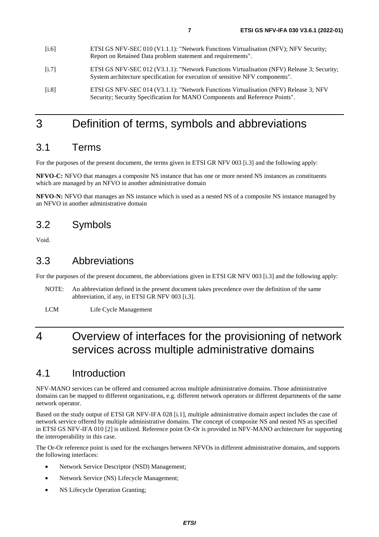- <span id="page-6-0"></span>[i.7] ETSI GS NFV-SEC 012 (V3.1.1): "Network Functions Virtualisation (NFV) Release 3; Security; System architecture specification for execution of sensitive NFV components".
- [i.8] ETSI GS NFV-SEC 014 (V3.1.1): "Network Functions Virtualisation (NFV) Release 3; NFV Security; Security Specification for MANO Components and Reference Points".

# 3 Definition of terms, symbols and abbreviations

### 3.1 Terms

For the purposes of the present document, the terms given in ETSI GR NFV 003 [[i.3](#page-5-0)] and the following apply:

**NFVO-C:** NFVO that manages a composite NS instance that has one or more nested NS instances as constituents which are managed by an NFVO in another administrative domain

**NFVO-N:** NFVO that manages an NS instance which is used as a nested NS of a composite NS instance managed by an NFVO in another administrative domain

### 3.2 Symbols

Void.

### 3.3 Abbreviations

For the purposes of the present document, the abbreviations given in ETSI GR NFV 003 [[i.3\]](#page-5-0) and the following apply:

- NOTE: An abbreviation defined in the present document takes precedence over the definition of the same abbreviation, if any, in ETSI GR NFV 003 [[i.3](#page-5-0)].
- LCM Life Cycle Management

# 4 Overview of interfaces for the provisioning of network services across multiple administrative domains

# 4.1 Introduction

NFV-MANO services can be offered and consumed across multiple administrative domains. Those administrative domains can be mapped to different organizations, e.g. different network operators or different departments of the same network operator.

Based on the study output of ETSI GR NFV-IFA 028 [\[i.1\]](#page-5-0), multiple administrative domain aspect includes the case of network service offered by multiple administrative domains. The concept of composite NS and nested NS as specified in ETSI GS NFV-IFA 010 [\[2\]](#page-5-0) is utilized. Reference point Or-Or is provided in NFV-MANO architecture for supporting the interoperability in this case.

The Or-Or reference point is used for the exchanges between NFVOs in different administrative domains, and supports the following interfaces:

- Network Service Descriptor (NSD) Management;
- Network Service (NS) Lifecycle Management;
- NS Lifecycle Operation Granting;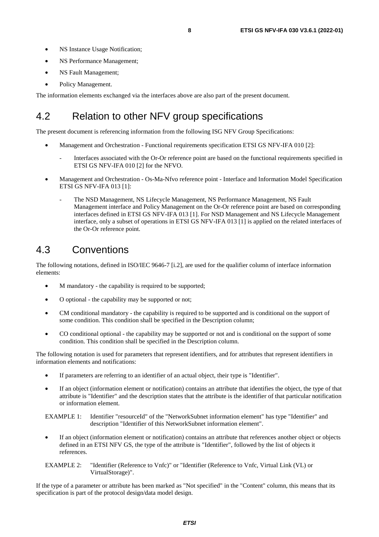- <span id="page-7-0"></span>• NS Instance Usage Notification;
- NS Performance Management;
- NS Fault Management;
- Policy Management.

The information elements exchanged via the interfaces above are also part of the present document.

# 4.2 Relation to other NFV group specifications

The present document is referencing information from the following ISG NFV Group Specifications:

- Management and Orchestration Functional requirements specification ETSI GS NFV-IFA 010 [\[2](#page-5-0)]:
	- Interfaces associated with the Or-Or reference point are based on the functional requirements specified in ETSI GS NFV-IFA 010 [[2\]](#page-5-0) for the NFVO.
- Management and Orchestration Os-Ma-Nfvo reference point Interface and Information Model Specification ETSI GS NFV-IFA 013 [\[1](#page-5-0)]:
	- The NSD Management, NS Lifecycle Management, NS Performance Management, NS Fault Management interface and Policy Management on the Or-Or reference point are based on corresponding interfaces defined in ETSI GS NFV-IFA 013 [[1\]](#page-5-0). For NSD Management and NS Lifecycle Management interface, only a subset of operations in ETSI GS NFV-IFA 013 [[1\]](#page-5-0) is applied on the related interfaces of the Or-Or reference point.

# 4.3 Conventions

The following notations, defined in ISO/IEC 9646-7 [\[i.2](#page-5-0)], are used for the qualifier column of interface information elements:

- M mandatory the capability is required to be supported;
- O optional the capability may be supported or not;
- CM conditional mandatory the capability is required to be supported and is conditional on the support of some condition. This condition shall be specified in the Description column;
- CO conditional optional the capability may be supported or not and is conditional on the support of some condition. This condition shall be specified in the Description column.

The following notation is used for parameters that represent identifiers, and for attributes that represent identifiers in information elements and notifications:

- If parameters are referring to an identifier of an actual object, their type is "Identifier".
- If an object (information element or notification) contains an attribute that identifies the object, the type of that attribute is "Identifier" and the description states that the attribute is the identifier of that particular notification or information element.

EXAMPLE 1: Identifier "resourceId" of the "NetworkSubnet information element" has type "Identifier" and description "Identifier of this NetworkSubnet information element".

- If an object (information element or notification) contains an attribute that references another object or objects defined in an ETSI NFV GS, the type of the attribute is "Identifier", followed by the list of objects it references.
- EXAMPLE 2: "Identifier (Reference to Vnfc)" or "Identifier (Reference to Vnfc, Virtual Link (VL) or VirtualStorage)".

If the type of a parameter or attribute has been marked as "Not specified" in the "Content" column, this means that its specification is part of the protocol design/data model design.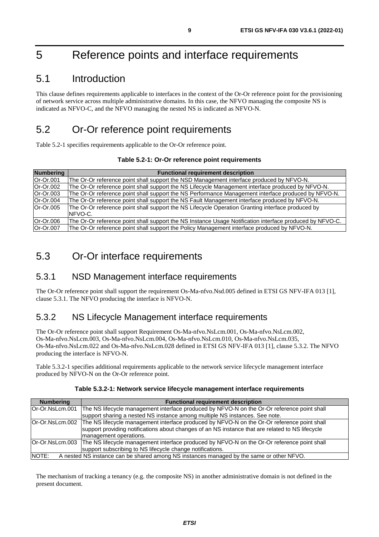# <span id="page-8-0"></span>5 Reference points and interface requirements

# 5.1 Introduction

This clause defines requirements applicable to interfaces in the context of the Or-Or reference point for the provisioning of network service across multiple administrative domains. In this case, the NFVO managing the composite NS is indicated as NFVO-C, and the NFVO managing the nested NS is indicated as NFVO-N.

# 5.2 Or-Or reference point requirements

Table 5.2-1 specifies requirements applicable to the Or-Or reference point.

| Table 5.2-1: Or-Or reference point requirements |  |
|-------------------------------------------------|--|
|-------------------------------------------------|--|

| Numbering | <b>Functional requirement description</b>                                                                    |
|-----------|--------------------------------------------------------------------------------------------------------------|
| Or-Or.001 | The Or-Or reference point shall support the NSD Management interface produced by NFVO-N.                     |
| Or-Or.002 | The Or-Or reference point shall support the NS Lifecycle Management interface produced by NFVO-N.            |
| Or-Or.003 | The Or-Or reference point shall support the NS Performance Management interface produced by NFVO-N.          |
| Or-Or.004 | The Or-Or reference point shall support the NS Fault Management interface produced by NFVO-N.                |
| Or-Or.005 | The Or-Or reference point shall support the NS Lifecycle Operation Granting interface produced by<br>NFVO-C. |
| Or-Or.006 | The Or-Or reference point shall support the NS Instance Usage Notification interface produced by NFVO-C.     |
| Or-Or.007 | The Or-Or reference point shall support the Policy Management interface produced by NFVO-N.                  |

# 5.3 Or-Or interface requirements

### 5.3.1 NSD Management interface requirements

The Or-Or reference point shall support the requirement Os-Ma-nfvo.Nsd.005 defined in ETSI GS NFV-IFA 013 [\[1](#page-5-0)], clause 5.3.1. The NFVO producing the interface is NFVO-N.

# 5.3.2 NS Lifecycle Management interface requirements

The Or-Or reference point shall support Requirement Os-Ma-nfvo.NsLcm.001, Os-Ma-nfvo.NsLcm.002, Os-Ma-nfvo.NsLcm.003, Os-Ma-nfvo.NsLcm.004, Os-Ma-nfvo.NsLcm.010, Os-Ma-nfvo.NsLcm.035, Os-Ma-nfvo.NsLcm.022 and Os-Ma-nfvo.NsLcm.028 defined in ETSI GS NFV-IFA 013 [\[1\]](#page-5-0), clause 5.3.2. The NFVO producing the interface is NFVO-N.

Table 5.3.2-1 specifies additional requirements applicable to the network service lifecycle management interface produced by NFVO-N on the Or-Or reference point.

| <b>Numbering</b>                                                                                  | <b>Functional requirement description</b>                                                                                                                                                                                                 |  |
|---------------------------------------------------------------------------------------------------|-------------------------------------------------------------------------------------------------------------------------------------------------------------------------------------------------------------------------------------------|--|
| Or-Or.NsLcm.001                                                                                   | The NS lifecycle management interface produced by NFVO-N on the Or-Or reference point shall                                                                                                                                               |  |
|                                                                                                   | support sharing a nested NS instance among multiple NS instances. See note.                                                                                                                                                               |  |
|                                                                                                   | Or-Or.NsLcm.002 The NS lifecycle management interface produced by NFVO-N on the Or-Or reference point shall<br>support providing notifications about changes of an NS instance that are related to NS lifecycle<br>management operations. |  |
|                                                                                                   | Or-Or.NsLcm.003   The NS lifecycle management interface produced by NFVO-N on the Or-Or reference point shall<br>support subscribing to NS lifecycle change notifications.                                                                |  |
| NOTE:<br>A nested NS instance can be shared among NS instances managed by the same or other NFVO. |                                                                                                                                                                                                                                           |  |

#### **Table 5.3.2-1: Network service lifecycle management interface requirements**

The mechanism of tracking a tenancy (e.g. the composite NS) in another administrative domain is not defined in the present document.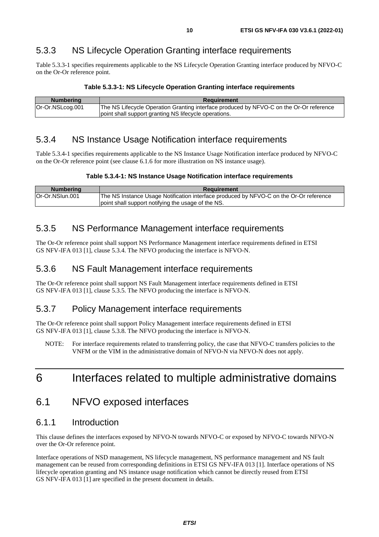# <span id="page-9-0"></span>5.3.3 NS Lifecycle Operation Granting interface requirements

Table 5.3.3-1 specifies requirements applicable to the NS Lifecycle Operation Granting interface produced by NFVO-C on the Or-Or reference point.

| Table 5.3.3-1: NS Lifecycle Operation Granting interface requirements |  |
|-----------------------------------------------------------------------|--|
|-----------------------------------------------------------------------|--|

| <b>Numbering</b> | <b>Requirement</b>                                                                      |  |  |
|------------------|-----------------------------------------------------------------------------------------|--|--|
| Or-Or.NSLcog.001 | The NS Lifecycle Operation Granting interface produced by NFVO-C on the Or-Or reference |  |  |
|                  | point shall support granting NS lifecycle operations.                                   |  |  |

### 5.3.4 NS Instance Usage Notification interface requirements

Table 5.3.4-1 specifies requirements applicable to the NS Instance Usage Notification interface produced by NFVO-C on the Or-Or reference point (see clause 6.1.6 for more illustration on NS instance usage).

#### **Table 5.3.4-1: NS Instance Usage Notification interface requirements**

| <b>Numbering</b> | Requirement                                                                            |  |  |
|------------------|----------------------------------------------------------------------------------------|--|--|
| lOr-Or.NSIun.001 | The NS Instance Usage Notification interface produced by NFVO-C on the Or-Or reference |  |  |
|                  | point shall support notifying the usage of the NS.                                     |  |  |

### 5.3.5 NS Performance Management interface requirements

The Or-Or reference point shall support NS Performance Management interface requirements defined in ETSI GS NFV-IFA 013 [[1\]](#page-5-0), clause 5.3.4. The NFVO producing the interface is NFVO-N.

### 5.3.6 NS Fault Management interface requirements

The Or-Or reference point shall support NS Fault Management interface requirements defined in ETSI GS NFV-IFA 013 [[1\]](#page-5-0), clause 5.3.5. The NFVO producing the interface is NFVO-N.

### 5.3.7 Policy Management interface requirements

The Or-Or reference point shall support Policy Management interface requirements defined in ETSI GS NFV-IFA 013 [[1\]](#page-5-0), clause 5.3.8. The NFVO producing the interface is NFVO-N.

NOTE: For interface requirements related to transferring policy, the case that NFVO-C transfers policies to the VNFM or the VIM in the administrative domain of NFVO-N via NFVO-N does not apply.

# 6 Interfaces related to multiple administrative domains

# 6.1 NFVO exposed interfaces

### 6.1.1 Introduction

This clause defines the interfaces exposed by NFVO-N towards NFVO-C or exposed by NFVO-C towards NFVO-N over the Or-Or reference point.

Interface operations of NSD management, NS lifecycle management, NS performance management and NS fault management can be reused from corresponding definitions in ETSI GS NFV-IFA 013 [[1](#page-5-0)]. Interface operations of NS lifecycle operation granting and NS instance usage notification which cannot be directly reused from ETSI GS NFV-IFA 013 [[1\]](#page-5-0) are specified in the present document in details.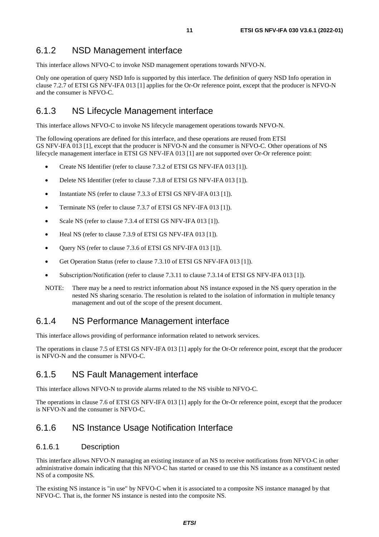### <span id="page-10-0"></span>6.1.2 NSD Management interface

This interface allows NFVO-C to invoke NSD management operations towards NFVO-N.

Only one operation of query NSD Info is supported by this interface. The definition of query NSD Info operation in clause 7.2.7 of ETSI GS NFV-IFA 013 [\[1](#page-5-0)] applies for the Or-Or reference point, except that the producer is NFVO-N and the consumer is NFVO-C.

### 6.1.3 NS Lifecycle Management interface

This interface allows NFVO-C to invoke NS lifecycle management operations towards NFVO-N.

The following operations are defined for this interface, and these operations are reused from ETSI GS NFV-IFA 013 [[1\]](#page-5-0), except that the producer is NFVO-N and the consumer is NFVO-C. Other operations of NS lifecycle management interface in ETSI GS NFV-IFA 013 [[1\]](#page-5-0) are not supported over Or-Or reference point:

- Create NS Identifier (refer to clause 7.3.2 of ETSI GS NFV-IFA 013 [[1\]](#page-5-0)).
- Delete NS Identifier (refer to clause 7.3.8 of ETSI GS NFV-IFA 013 [[1\]](#page-5-0)).
- Instantiate NS (refer to clause 7.3.3 of ETSI GS NFV-IFA 0[1](#page-5-0)3 [1]).
- Terminate NS (refer to clause 7.3.7 of ETSI GS NFV-IFA 013 [[1\]](#page-5-0)).
- Scale NS (refer to clause 7.3.4 of ETSI GS NFV-IFA 013 [\[1\]](#page-5-0)).
- Heal NS (refer to clause 7.3.9 of ETSI GS NFV-IFA 013 [\[1\]](#page-5-0)).
- Query NS (refer to clause 7.3.6 of ETSI GS NFV-IFA 013 [\[1\]](#page-5-0)).
- Get Operation Status (refer to clause 7.3.10 of ETSI GS NFV-IFA 013 [\[1](#page-5-0)]).
- Subscription/Notification (refer to clause 7.3.11 to clause 7.3.14 of ETSI GS NFV-IFA 013 [\[1\]](#page-5-0)).
- NOTE: There may be a need to restrict information about NS instance exposed in the NS query operation in the nested NS sharing scenario. The resolution is related to the isolation of information in multiple tenancy management and out of the scope of the present document.

### 6.1.4 NS Performance Management interface

This interface allows providing of performance information related to network services.

The operations in clause 7.5 of ETSI GS NFV-IFA 013 [[1\]](#page-5-0) apply for the Or-Or reference point, except that the producer is NFVO-N and the consumer is NFVO-C.

### 6.1.5 NS Fault Management interface

This interface allows NFVO-N to provide alarms related to the NS visible to NFVO-C.

The operations in clause 7.6 of ETSI GS NFV-IFA 013 [[1\]](#page-5-0) apply for the Or-Or reference point, except that the producer is NFVO-N and the consumer is NFVO-C.

### 6.1.6 NS Instance Usage Notification Interface

#### 6.1.6.1 Description

This interface allows NFVO-N managing an existing instance of an NS to receive notifications from NFVO-C in other administrative domain indicating that this NFVO-C has started or ceased to use this NS instance as a constituent nested NS of a composite NS.

The existing NS instance is "in use" by NFVO-C when it is associated to a composite NS instance managed by that NFVO-C. That is, the former NS instance is nested into the composite NS.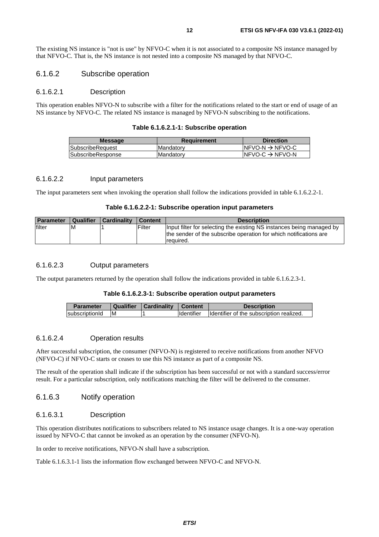<span id="page-11-0"></span>The existing NS instance is "not is use" by NFVO-C when it is not associated to a composite NS instance managed by that NFVO-C. That is, the NS instance is not nested into a composite NS managed by that NFVO-C.

#### 6.1.6.2 Subscribe operation

#### 6.1.6.2.1 Description

This operation enables NFVO-N to subscribe with a filter for the notifications related to the start or end of usage of an NS instance by NFVO-C. The related NS instance is managed by NFVO-N subscribing to the notifications.

|  |  | Table 6.1.6.2.1-1: Subscribe operation |  |
|--|--|----------------------------------------|--|
|--|--|----------------------------------------|--|

| <b>Message</b>    | Requirement | <b>Direction</b>             |
|-------------------|-------------|------------------------------|
| SubscribeRequest  | Mandatory   | $INFVO-N \rightarrow NFVO-C$ |
| SubscribeResponse | Mandatory   | INFVO-C $\rightarrow$ NFVO-N |
|                   |             |                              |

#### 6.1.6.2.2 Input parameters

The input parameters sent when invoking the operation shall follow the indications provided in table 6.1.6.2.2-1.

|  | Table 6.1.6.2.2-1: Subscribe operation input parameters |
|--|---------------------------------------------------------|
|--|---------------------------------------------------------|

| <b>Parameter</b> | Qualifier | Cardinality | Content | <b>Description</b>                                                                                                                                      |
|------------------|-----------|-------------|---------|---------------------------------------------------------------------------------------------------------------------------------------------------------|
| filter           | IM        |             | Filter  | Input filter for selecting the existing NS instances being managed by<br>the sender of the subscribe operation for which notifications are<br>required. |

#### 6.1.6.2.3 Output parameters

The output parameters returned by the operation shall follow the indications provided in table 6.1.6.2.3-1.

#### **Table 6.1.6.2.3-1: Subscribe operation output parameters**

| <b>Parameter</b> |    | Qualifier   Cardinality   Content |                    | <b>Description</b>                        |
|------------------|----|-----------------------------------|--------------------|-------------------------------------------|
| subscriptionId   | ΙM |                                   | <b>I</b> dentifier | Ildentifier of the subscription realized. |

#### 6.1.6.2.4 Operation results

After successful subscription, the consumer (NFVO-N) is registered to receive notifications from another NFVO (NFVO-C) if NFVO-C starts or ceases to use this NS instance as part of a composite NS.

The result of the operation shall indicate if the subscription has been successful or not with a standard success/error result. For a particular subscription, only notifications matching the filter will be delivered to the consumer.

#### 6.1.6.3 Notify operation

#### 6.1.6.3.1 Description

This operation distributes notifications to subscribers related to NS instance usage changes. It is a one-way operation issued by NFVO-C that cannot be invoked as an operation by the consumer (NFVO-N).

In order to receive notifications, NFVO-N shall have a subscription.

Table 6.1.6.3.1-1 lists the information flow exchanged between NFVO-C and NFVO-N.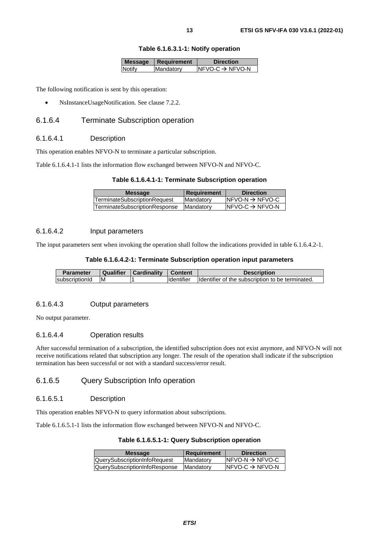|               | Message   Requirement | <b>Direction</b>             |
|---------------|-----------------------|------------------------------|
| <b>Notify</b> | Mandatory             | $INFVO-C \rightarrow NFVO-N$ |
|               |                       |                              |

<span id="page-12-0"></span>The following notification is sent by this operation:

• NsInstanceUsageNotification. See clause 7.2.2.

#### 6.1.6.4 Terminate Subscription operation

#### 6.1.6.4.1 Description

This operation enables NFVO-N to terminate a particular subscription.

Table 6.1.6.4.1-1 lists the information flow exchanged between NFVO-N and NFVO-C.

#### **Table 6.1.6.4.1-1: Terminate Subscription operation**

| <b>Message</b>                | <b>Requirement</b> | <b>Direction</b>             |
|-------------------------------|--------------------|------------------------------|
| TerminateSubscriptionRequest  | Mandatory          | $INFVO-N \rightarrow NFVO-C$ |
| TerminateSubscriptionResponse | <b>Mandatory</b>   | INFVO-C $\rightarrow$ NFVO-N |

#### 6.1.6.4.2 Input parameters

The input parameters sent when invoking the operation shall follow the indications provided in table 6.1.6.4.2-1.

#### **Table 6.1.6.4.2-1: Terminate Subscription operation input parameters**

| <b>Parameter</b>       | Qualifier | Cardinality | <b>Content</b> | <b>Description</b>                               |
|------------------------|-----------|-------------|----------------|--------------------------------------------------|
| <b>IsubscriptionId</b> | M         |             | Identifier     | Identifier of the subscription to be terminated. |

#### 6.1.6.4.3 Output parameters

No output parameter.

#### 6.1.6.4.4 Operation results

After successful termination of a subscription, the identified subscription does not exist anymore, and NFVO-N will not receive notifications related that subscription any longer. The result of the operation shall indicate if the subscription termination has been successful or not with a standard success/error result.

#### 6.1.6.5 Query Subscription Info operation

#### 6.1.6.5.1 Description

This operation enables NFVO-N to query information about subscriptions.

Table 6.1.6.5.1-1 lists the information flow exchanged between NFVO-N and NFVO-C.

#### **Table 6.1.6.5.1-1: Query Subscription operation**

| <b>Message</b>                | <b>Requirement</b> | <b>Direction</b>             |
|-------------------------------|--------------------|------------------------------|
| QuerySubscriptionInfoRequest  | Mandatory          | $INFVO-N \rightarrow NFVO-C$ |
| QuerySubscriptionInfoResponse | <b>Mandatory</b>   | INFVO-C $\rightarrow$ NFVO-N |
|                               |                    |                              |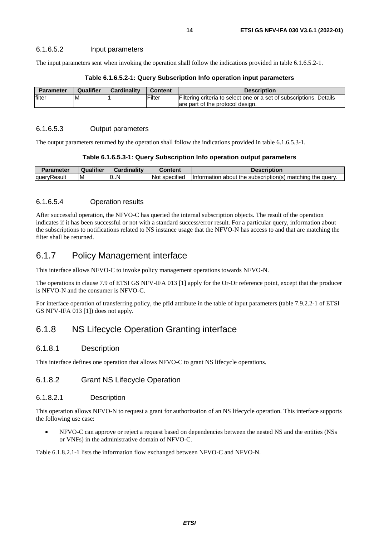#### <span id="page-13-0"></span>6.1.6.5.2 Input parameters

The input parameters sent when invoking the operation shall follow the indications provided in table 6.1.6.5.2-1.

| <b>Parameter</b> | Qualifier | <b>Cardinality</b> | Content | <b>Description</b>                                                                                      |
|------------------|-----------|--------------------|---------|---------------------------------------------------------------------------------------------------------|
| filter           | ιM        |                    | Filter  | Filtering criteria to select one or a set of subscriptions. Details<br>are part of the protocol design. |

#### **Table 6.1.6.5.2-1: Query Subscription Info operation input parameters**

#### 6.1.6.5.3 Output parameters

The output parameters returned by the operation shall follow the indications provided in table 6.1.6.5.3-1.

| Table 6.1.6.5.3-1: Query Subscription Info operation output parameters |  |  |  |
|------------------------------------------------------------------------|--|--|--|
|------------------------------------------------------------------------|--|--|--|

| Parameter        | Qualifier | <b>Cardinality</b> | Content                     | <b>Description</b>                                                          |
|------------------|-----------|--------------------|-----------------------------|-----------------------------------------------------------------------------|
| lauer\<br>≀esult | ΙM        | 10N                | $\cdot$<br>Not<br>specified | matching<br>, the querv.<br>about the subscription(s)<br><b>Information</b> |

#### 6.1.6.5.4 Operation results

After successful operation, the NFVO-C has queried the internal subscription objects. The result of the operation indicates if it has been successful or not with a standard success/error result. For a particular query, information about the subscriptions to notifications related to NS instance usage that the NFVO-N has access to and that are matching the filter shall be returned.

### 6.1.7 Policy Management interface

This interface allows NFVO-C to invoke policy management operations towards NFVO-N.

The operations in clause 7.9 of ETSI GS NFV-IFA 013 [[1\]](#page-5-0) apply for the Or-Or reference point, except that the producer is NFVO-N and the consumer is NFVO-C.

For interface operation of transferring policy, the pfId attribute in the table of input parameters (table 7.9.2.2-1 of ETSI GS NFV-IFA 013 [[1\]](#page-5-0)) does not apply.

### 6.1.8 NS Lifecycle Operation Granting interface

#### 6.1.8.1 Description

This interface defines one operation that allows NFVO-C to grant NS lifecycle operations.

#### 6.1.8.2 Grant NS Lifecycle Operation

#### 6.1.8.2.1 Description

This operation allows NFVO-N to request a grant for authorization of an NS lifecycle operation. This interface supports the following use case:

• NFVO-C can approve or reject a request based on dependencies between the nested NS and the entities (NSs or VNFs) in the administrative domain of NFVO-C.

Table 6.1.8.2.1-1 lists the information flow exchanged between NFVO-C and NFVO-N.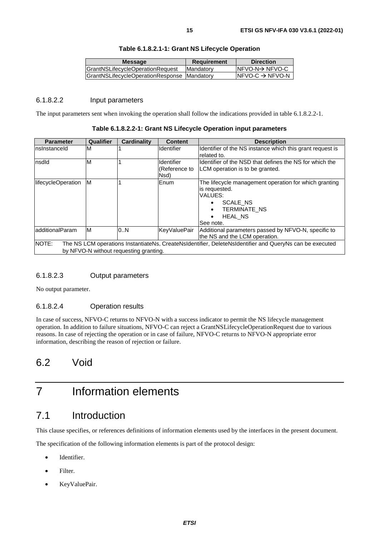<span id="page-14-0"></span>

| GrantNSLifecycleOperationRequest<br><b>IMandatory</b> | <b>Message</b>                               | <b>Requirement</b> | <b>Direction</b>             |
|-------------------------------------------------------|----------------------------------------------|--------------------|------------------------------|
|                                                       |                                              |                    | $INFVO-N \rightarrow NFVO-C$ |
|                                                       | GrantNSLifecycleOperationResponse  Mandatory |                    | INFVO-C $\rightarrow$ NFVO-N |

#### **Table 6.1.8.2.1-1: Grant NS Lifecycle Operation**

#### 6.1.8.2.2 Input parameters

The input parameters sent when invoking the operation shall follow the indications provided in table 6.1.8.2.2-1.

**Table 6.1.8.2.2-1: Grant NS Lifecycle Operation input parameters** 

| <b>Parameter</b>                                                                                                                                           | Qualifier | <b>Cardinality</b> | <b>Content</b>                      | <b>Description</b>                                                                                                                           |
|------------------------------------------------------------------------------------------------------------------------------------------------------------|-----------|--------------------|-------------------------------------|----------------------------------------------------------------------------------------------------------------------------------------------|
| nslnstanceld                                                                                                                                               | M         |                    | <b>Identifier</b>                   | Identifier of the NS instance which this grant request is<br>related to.                                                                     |
| nsdld                                                                                                                                                      | M         |                    | ldentifier<br>(Reference to<br>Nsd) | Identifier of the NSD that defines the NS for which the<br>LCM operation is to be granted.                                                   |
| lifecycleOperation                                                                                                                                         | M         |                    | Enum                                | The lifecycle management operation for which granting<br>is requested.<br>VALUES:<br>SCALE NS<br><b>TERMINATE NS</b><br>HEAL NS<br>See note. |
| ladditionalParam                                                                                                                                           | M         | 0N                 | KeyValuePair                        | Additional parameters passed by NFVO-N, specific to<br>the NS and the LCM operation.                                                         |
| NOTE:<br>The NS LCM operations InstantiateNs, CreateNsIdentifier, DeleteNsIdentifier and QueryNs can be executed<br>by NFVO-N without requesting granting. |           |                    |                                     |                                                                                                                                              |

#### 6.1.8.2.3 Output parameters

No output parameter.

#### 6.1.8.2.4 Operation results

In case of success, NFVO-C returns to NFVO-N with a success indicator to permit the NS lifecycle management operation. In addition to failure situations, NFVO-C can reject a GrantNSLifecycleOperationRequest due to various reasons. In case of rejecting the operation or in case of failure, NFVO-C returns to NFVO-N appropriate error information, describing the reason of rejection or failure.

# 6.2 Void

# 7 Information elements

# 7.1 Introduction

This clause specifies, or references definitions of information elements used by the interfaces in the present document.

The specification of the following information elements is part of the protocol design:

- Identifier.
- Filter.
- KeyValuePair.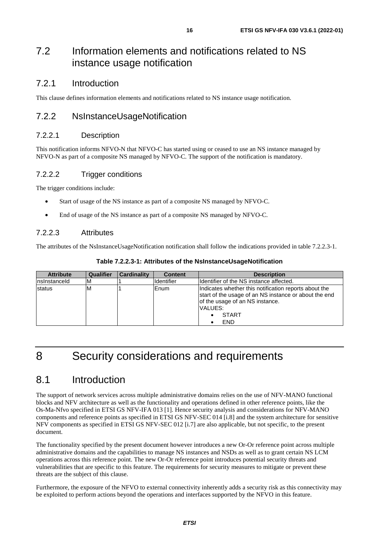# <span id="page-15-0"></span>7.2 Information elements and notifications related to NS instance usage notification

### 7.2.1 Introduction

This clause defines information elements and notifications related to NS instance usage notification.

### 7.2.2 NsInstanceUsageNotification

#### 7.2.2.1 Description

This notification informs NFVO-N that NFVO-C has started using or ceased to use an NS instance managed by NFVO-N as part of a composite NS managed by NFVO-C. The support of the notification is mandatory.

#### 7.2.2.2 Trigger conditions

The trigger conditions include:

- Start of usage of the NS instance as part of a composite NS managed by NFVO-C.
- End of usage of the NS instance as part of a composite NS managed by NFVO-C.

#### 7.2.2.3 Attributes

The attributes of the NsInstanceUsageNotification notification shall follow the indications provided in table 7.2.2.3-1.

| <b>Attribute</b> | <b>Qualifier</b> | <b>Cardinality</b> | <b>Content</b>    | <b>Description</b>                                                                                                                                                                         |
|------------------|------------------|--------------------|-------------------|--------------------------------------------------------------------------------------------------------------------------------------------------------------------------------------------|
| Insinstanceld    | IM.              |                    | <b>Identifier</b> | Ildentifier of the NS instance affected.                                                                                                                                                   |
| status           | ١M               |                    | lEnum.            | Indicates whether this notification reports about the<br>start of the usage of an NS instance or about the end<br>of the usage of an NS instance.<br>VALUES:<br><b>START</b><br><b>END</b> |

# 8 Security considerations and requirements

# 8.1 Introduction

The support of network services across multiple administrative domains relies on the use of NFV-MANO functional blocks and NFV architecture as well as the functionality and operations defined in other reference points, like the Os-Ma-Nfvo specified in ETSI GS NFV-IFA 013 [\[1\]](#page-5-0). Hence security analysis and considerations for NFV-MANO components and reference points as specified in ETSI GS NFV-SEC 014 [\[i.8\]](#page-6-0) and the system architecture for sensitive NFV components as specified in ETSI GS NFV-SEC 012 [[i.7\]](#page-6-0) are also applicable, but not specific, to the present document.

The functionality specified by the present document however introduces a new Or-Or reference point across multiple administrative domains and the capabilities to manage NS instances and NSDs as well as to grant certain NS LCM operations across this reference point. The new Or-Or reference point introduces potential security threats and vulnerabilities that are specific to this feature. The requirements for security measures to mitigate or prevent these threats are the subject of this clause.

Furthermore, the exposure of the NFVO to external connectivity inherently adds a security risk as this connectivity may be exploited to perform actions beyond the operations and interfaces supported by the NFVO in this feature.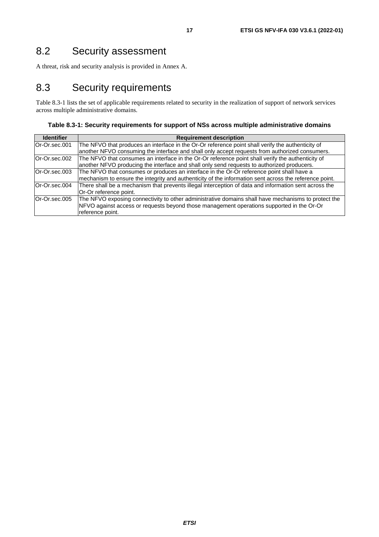<span id="page-16-0"></span>A threat, risk and security analysis is provided in Annex A.

# 8.3 Security requirements

Table 8.3-1 lists the set of applicable requirements related to security in the realization of support of network services across multiple administrative domains.

**Table 8.3-1: Security requirements for support of NSs across multiple administrative domains** 

| <b>Identifier</b> | <b>Requirement description</b>                                                                         |  |
|-------------------|--------------------------------------------------------------------------------------------------------|--|
| Or-Or.sec.001     | The NFVO that produces an interface in the Or-Or reference point shall verify the authenticity of      |  |
|                   | another NFVO consuming the interface and shall only accept requests from authorized consumers.         |  |
| Or-Or.sec.002     | The NFVO that consumes an interface in the Or-Or reference point shall verify the authenticity of      |  |
|                   | another NFVO producing the interface and shall only send requests to authorized producers.             |  |
| Or-Or.sec.003     | The NFVO that consumes or produces an interface in the Or-Or reference point shall have a              |  |
|                   | mechanism to ensure the integrity and authenticity of the information sent across the reference point. |  |
| Or-Or.sec.004     | There shall be a mechanism that prevents illegal interception of data and information sent across the  |  |
|                   | Or-Or reference point.                                                                                 |  |
| Or-Or.sec.005     | The NFVO exposing connectivity to other administrative domains shall have mechanisms to protect the    |  |
|                   | NFVO against access or requests beyond those management operations supported in the Or-Or              |  |
|                   | reference point.                                                                                       |  |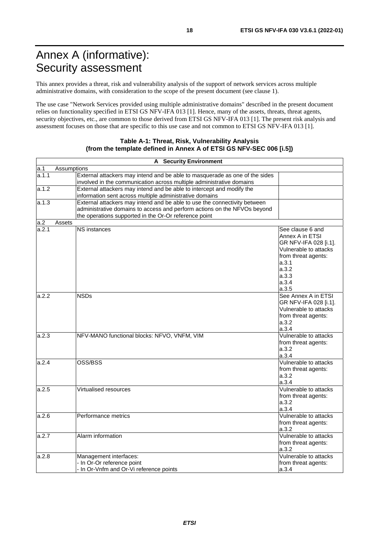<span id="page-17-0"></span>This annex provides a threat, risk and vulnerability analysis of the support of network services across multiple administrative domains, with consideration to the scope of the present document (see clause 1).

The use case "Network Services provided using multiple administrative domains" described in the present document relies on functionality specified in ETSI GS NFV-IFA 013 [\[1\]](#page-5-0). Hence, many of the assets, threats, threat agents, security objectives, etc., are common to those derived from ETSI GS NFV-IFA 0[1](#page-5-0)3 [1]. The present risk analysis and assessment focuses on those that are specific to this use case and not common to ETSI GS NFV-IFA 013 [[1](#page-5-0)].

#### **Table A-1: Threat, Risk, Vulnerability Analysis (from the template defined in Annex A of ETSI GS NFV-SEC 006 [\[i.5](#page-5-0)])**

| <b>A</b> Security Environment |             |                                                                             |                              |  |
|-------------------------------|-------------|-----------------------------------------------------------------------------|------------------------------|--|
| a.1                           | Assumptions |                                                                             |                              |  |
| a.1.1                         |             | External attackers may intend and be able to masquerade as one of the sides |                              |  |
|                               |             | involved in the communication across multiple administrative domains        |                              |  |
| a.1.2                         |             | External attackers may intend and be able to intercept and modify the       |                              |  |
|                               |             | information sent across multiple administrative domains                     |                              |  |
| a.1.3                         |             | External attackers may intend and be able to use the connectivity between   |                              |  |
|                               |             | administrative domains to access and perform actions on the NFVOs beyond    |                              |  |
|                               |             | the operations supported in the Or-Or reference point                       |                              |  |
| a.2                           | Assets      |                                                                             |                              |  |
| a.2.1                         |             | NS instances                                                                | See clause 6 and             |  |
|                               |             |                                                                             | Annex A in ETSI              |  |
|                               |             |                                                                             | GR NFV-IFA 028 [i.1].        |  |
|                               |             |                                                                             | Vulnerable to attacks        |  |
|                               |             |                                                                             | from threat agents:          |  |
|                               |             |                                                                             | a.3.1                        |  |
|                               |             |                                                                             | a.3.2                        |  |
|                               |             |                                                                             | a.3.3                        |  |
|                               |             |                                                                             | a.3.4                        |  |
|                               |             |                                                                             | a.3.5                        |  |
| a.2.2                         |             | <b>NSDs</b>                                                                 | See Annex A in ETSI          |  |
|                               |             |                                                                             | GR NFV-IFA 028 [i.1].        |  |
|                               |             |                                                                             | Vulnerable to attacks        |  |
|                               |             |                                                                             | from threat agents:          |  |
|                               |             |                                                                             | a.3.2                        |  |
|                               |             |                                                                             | a.3.4                        |  |
| a.2.3                         |             | NFV-MANO functional blocks: NFVO, VNFM, VIM                                 | Vulnerable to attacks        |  |
|                               |             |                                                                             | from threat agents:          |  |
|                               |             |                                                                             | a.3.2                        |  |
|                               |             |                                                                             | a.3.4                        |  |
| a.2.4                         |             | OSS/BSS                                                                     | Vulnerable to attacks        |  |
|                               |             |                                                                             | from threat agents:          |  |
|                               |             |                                                                             | a.3.2                        |  |
|                               |             |                                                                             | a.3.4                        |  |
| a.2.5                         |             | Virtualised resources                                                       | Vulnerable to attacks        |  |
|                               |             |                                                                             | from threat agents:          |  |
|                               |             |                                                                             | a.3.2                        |  |
|                               |             |                                                                             | a.3.4                        |  |
| a.2.6                         |             | Performance metrics                                                         | Vulnerable to attacks        |  |
|                               |             |                                                                             | from threat agents:          |  |
|                               |             |                                                                             | a.3.2                        |  |
| a.2.7                         |             | Alarm information                                                           | Vulnerable to attacks        |  |
|                               |             |                                                                             | from threat agents:          |  |
|                               |             |                                                                             | a.3.2                        |  |
| a.2.8                         |             | Management interfaces:                                                      | Vulnerable to attacks        |  |
|                               |             | - In Or-Or reference point                                                  |                              |  |
|                               |             |                                                                             | from threat agents:<br>a.3.4 |  |
|                               |             | - In Or-Vnfm and Or-Vi reference points                                     |                              |  |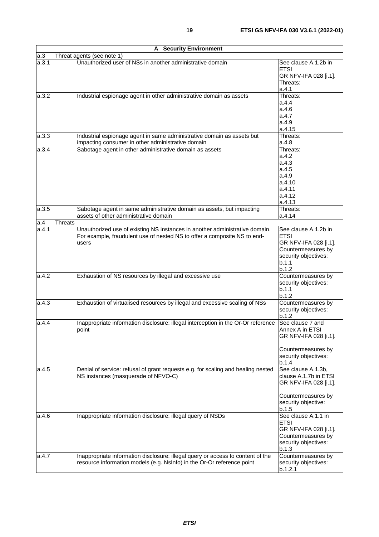| <b>A</b> Security Environment |                                                                                                                                                                  |                                                                                                                              |  |
|-------------------------------|------------------------------------------------------------------------------------------------------------------------------------------------------------------|------------------------------------------------------------------------------------------------------------------------------|--|
| a.3                           | Threat agents (see note 1)                                                                                                                                       |                                                                                                                              |  |
| a.3.1                         | Unauthorized user of NSs in another administrative domain                                                                                                        | See clause A.1.2b in<br><b>ETSI</b><br>GR NFV-IFA 028 [i.1].<br>Threats:<br>a.4.1                                            |  |
| a.3.2                         | Industrial espionage agent in other administrative domain as assets                                                                                              | Threats:<br>a.4.4<br>a.4.6<br>a.4.7<br>a.4.9<br>a.4.15                                                                       |  |
| a.3.3                         | Industrial espionage agent in same administrative domain as assets but<br>impacting consumer in other administrative domain                                      | Threats:<br>a.4.8                                                                                                            |  |
| a.3.4                         | Sabotage agent in other administrative domain as assets                                                                                                          | Threats:<br>a.4.2<br>a.4.3<br>a.4.5<br>a.4.9<br>a.4.10<br>a.4.11<br>a.4.12<br>a.4.13                                         |  |
| a.3.5                         | Sabotage agent in same administrative domain as assets, but impacting<br>assets of other administrative domain                                                   | Threats:<br>a.4.14                                                                                                           |  |
| a.4<br><b>Threats</b>         |                                                                                                                                                                  |                                                                                                                              |  |
| a.4.1                         | Unauthorized use of existing NS instances in another administrative domain.<br>For example, fraudulent use of nested NS to offer a composite NS to end-<br>users | See clause A.1.2b in<br><b>ETSI</b><br>GR NFV-IFA 028 [i.1].<br>Countermeasures by<br>security objectives:<br>b.1.1<br>b.1.2 |  |
| a.4.2                         | Exhaustion of NS resources by illegal and excessive use                                                                                                          | Countermeasures by<br>security objectives:<br>b.1.1<br>b.1.2                                                                 |  |
| a.4.3                         | Exhaustion of virtualised resources by illegal and excessive scaling of NSs                                                                                      | Countermeasures by<br>security objectives:<br>b.1.2                                                                          |  |
| a.4.4                         | Inappropriate information disclosure: illegal interception in the Or-Or reference<br>point                                                                       | See clause 7 and<br>Annex A in ETSI<br>GR NFV-IFA 028 [i.1].<br>Countermeasures by<br>security objectives:<br>b.1.4          |  |
| a.4.5                         | Denial of service: refusal of grant requests e.g. for scaling and healing nested<br>NS instances (masquerade of NFVO-C)                                          | See clause A.1.3b,<br>clause A.1.7b in ETSI<br>GR NFV-IFA 028 [i.1].<br>Countermeasures by<br>security objective:<br>b.1.5   |  |
| a.4.6                         | Inappropriate information disclosure: illegal query of NSDs                                                                                                      | See clause A.1.1 in<br><b>ETSI</b><br>GR NFV-IFA 028 [i.1].<br>Countermeasures by<br>security objectives:<br>b.1.3           |  |
| a.4.7                         | Inappropriate information disclosure: illegal query or access to content of the<br>resource information models (e.g. NsInfo) in the Or-Or reference point        | Countermeasures by<br>security objectives:<br>b.1.2.1                                                                        |  |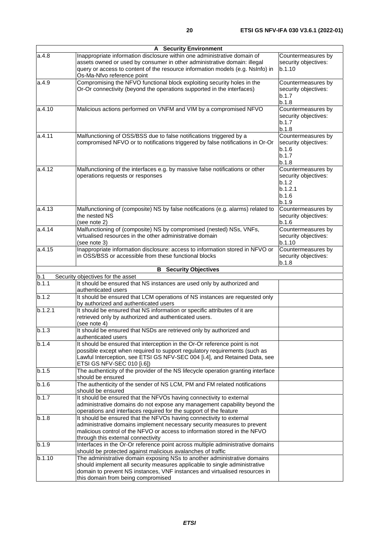| <b>A</b> Security Environment |                                                                                                                                                                                                                                                                                                                              |                                                                                  |  |
|-------------------------------|------------------------------------------------------------------------------------------------------------------------------------------------------------------------------------------------------------------------------------------------------------------------------------------------------------------------------|----------------------------------------------------------------------------------|--|
| a.4.8                         | Inappropriate information disclosure within one administrative domain of<br>Countermeasures by<br>assets owned or used by consumer in other administrative domain: illegal<br>security objectives:<br>query or access to content of the resource information models (e.g. NsInfo) in<br>b.1.10<br>Os-Ma-Nfvo reference point |                                                                                  |  |
| a.4.9                         | Compromising the NFVO functional block exploiting security holes in the<br>Countermeasures by<br>Or-Or connectivity (beyond the operations supported in the interfaces)<br>security objectives:<br>b.1.7<br>b.1.8                                                                                                            |                                                                                  |  |
| a.4.10                        | Malicious actions performed on VNFM and VIM by a compromised NFVO<br>Countermeasures by<br>security objectives:<br>b.1.7<br>b.1.8                                                                                                                                                                                            |                                                                                  |  |
| a.4.11                        | Malfunctioning of OSS/BSS due to false notifications triggered by a<br>compromised NFVO or to notifications triggered by false notifications in Or-Or                                                                                                                                                                        | Countermeasures by<br>security objectives:<br>b.1.6<br>b.1.7<br>b.1.8            |  |
| a.4.12                        | Malfunctioning of the interfaces e.g. by massive false notifications or other<br>operations requests or responses                                                                                                                                                                                                            | Countermeasures by<br>security objectives:<br>b.1.2<br>b.1.2.1<br>b.1.6<br>b.1.9 |  |
| a.4.13                        | Malfunctioning of (composite) NS by false notifications (e.g. alarms) related to<br>the nested NS<br>(see note 2)                                                                                                                                                                                                            | Countermeasures by<br>security objectives:<br>b.1.6                              |  |
| a.4.14                        | Malfunctioning of (composite) NS by compromised (nested) NSs, VNFs,<br>virtualised resources in the other administrative domain<br>(see note 3)                                                                                                                                                                              | Countermeasures by<br>security objectives:<br>b.1.10                             |  |
| a.4.15                        | Inappropriate information disclosure: access to information stored in NFVO or<br>in OSS/BSS or accessible from these functional blocks                                                                                                                                                                                       | Countermeasures by<br>security objectives:<br>b.1.8                              |  |
|                               | <b>B</b> Security Objectives                                                                                                                                                                                                                                                                                                 |                                                                                  |  |
| b.1                           | Security objectives for the asset                                                                                                                                                                                                                                                                                            |                                                                                  |  |
| b.1.1                         | It should be ensured that NS instances are used only by authorized and<br>authenticated users                                                                                                                                                                                                                                |                                                                                  |  |
| b.1.2                         | It should be ensured that LCM operations of NS instances are requested only<br>by authorized and authenticated users                                                                                                                                                                                                         |                                                                                  |  |
| b.1.2.1                       | It should be ensured that NS information or specific attributes of it are<br>retrieved only by authorized and authenticated users.<br>(see note 4)                                                                                                                                                                           |                                                                                  |  |
| b.1.3                         | It should be ensured that NSDs are retrieved only by authorized and<br>authenticated users                                                                                                                                                                                                                                   |                                                                                  |  |
| b.1.4                         | It should be ensured that interception in the Or-Or reference point is not<br>possible except when required to support regulatory requirements (such as<br>Lawful Interception, see ETSI GS NFV-SEC 004 [i.4], and Retained Data, see<br>ETSI GS NFV-SEC 010 [i.6])                                                          |                                                                                  |  |
| b.1.5                         | The authenticity of the provider of the NS lifecycle operation granting interface<br>should be ensured                                                                                                                                                                                                                       |                                                                                  |  |
| b.1.6                         | The authenticity of the sender of NS LCM, PM and FM related notifications<br>should be ensured                                                                                                                                                                                                                               |                                                                                  |  |
| b.1.7                         | It should be ensured that the NFVOs having connectivity to external<br>administrative domains do not expose any management capability beyond the<br>operations and interfaces required for the support of the feature                                                                                                        |                                                                                  |  |
| b.1.8                         | It should be ensured that the NFVOs having connectivity to external<br>administrative domains implement necessary security measures to prevent<br>malicious control of the NFVO or access to information stored in the NFVO<br>through this external connectivity                                                            |                                                                                  |  |
| b.1.9                         | Interfaces in the Or-Or reference point across multiple administrative domains<br>should be protected against malicious avalanches of traffic                                                                                                                                                                                |                                                                                  |  |
| b.1.10                        | The administrative domain exposing NSs to another administrative domains<br>should implement all security measures applicable to single administrative<br>domain to prevent NS instances, VNF instances and virtualised resources in<br>this domain from being compromised                                                   |                                                                                  |  |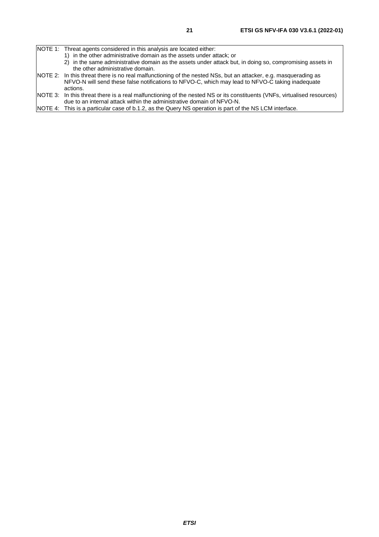- 1) in the other administrative domain as the assets under attack; or
- 2) in the same administrative domain as the assets under attack but, in doing so, compromising assets in the other administrative domain.
- NOTE 2: In this threat there is no real malfunctioning of the nested NSs, but an attacker, e.g. masquerading as NFVO-N will send these false notifications to NFVO-C, which may lead to NFVO-C taking inadequate actions.
- NOTE 3: In this threat there is a real malfunctioning of the nested NS or its constituents (VNFs, virtualised resources) due to an internal attack within the administrative domain of NFVO-N.
- NOTE 4: This is a particular case of b.1.2, as the Query NS operation is part of the NS LCM interface.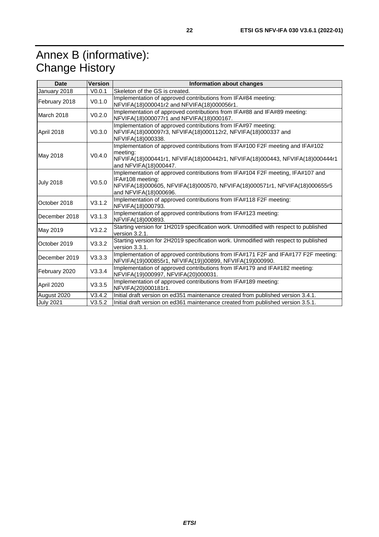# <span id="page-21-0"></span>Annex B (informative): Change History

| <b>Date</b>      | <b>Version</b>     | <b>Information about changes</b>                                                                                                                                                                          |
|------------------|--------------------|-----------------------------------------------------------------------------------------------------------------------------------------------------------------------------------------------------------|
| January 2018     | V0.0.1             | Skeleton of the GS is created.                                                                                                                                                                            |
| February 2018    | V0.1.0             | Implementation of approved contributions from IFA#84 meeting:<br>NFVIFA(18)000041r2 and NFVIFA(18)000056r1.                                                                                               |
| March 2018       | V <sub>0.2.0</sub> | Implementation of approved contributions from IFA#88 and IFA#89 meeting:<br>NFVIFA(18)000077r1 and NFVIFA(18)000167.                                                                                      |
| April 2018       | V <sub>0.3.0</sub> | Implementation of approved contributions from IFA#97 meeting:<br>NFVIFA(18)000097r3, NFVIFA(18)000112r2, NFVIFA(18)000337 and<br>NFVIFA(18)000338.                                                        |
| May 2018         | V <sub>0.4.0</sub> | Implementation of approved contributions from IFA#100 F2F meeting and IFA#102<br>meeting:<br>NFVIFA(18)000441r1, NFVIFA(18)000442r1, NFVIFA(18)000443, NFVIFA(18)000444r1<br>and NFVIFA(18)000447.        |
| <b>July 2018</b> | V <sub>0.5.0</sub> | Implementation of approved contributions from IFA#104 F2F meeting, IFA#107 and<br>IFA#108 meeting:<br>NFVIFA(18)000605, NFVIFA(18)000570, NFVIFA(18)000571r1, NFVIFA(18)000655r5<br>and NFVIFA(18)000696. |
| October 2018     | V3.1.2             | Implementation of approved contributions from IFA#118 F2F meeting:<br>NFVIFA(18)000793.                                                                                                                   |
| December 2018    | V3.1.3             | Implementation of approved contributions from IFA#123 meeting:<br>NFVIFA(18)000893.                                                                                                                       |
| May 2019         | V3.2.2             | Starting version for 1H2019 specification work. Unmodified with respect to published<br>version 3.2.1.                                                                                                    |
| October 2019     | V3.3.2             | Starting version for 2H2019 specification work. Unmodified with respect to published<br>version 3.3.1.                                                                                                    |
| December 2019    | V3.3.3             | Implementation of approved contributions from IFA#171 F2F and IFA#177 F2F meeting:<br>NFVIFA(19)000855r1, NFVIFA(19))00899, NFVIFA(19)000990.                                                             |
| February 2020    | V3.3.4             | Implementation of approved contributions from IFA#179 and IFA#182 meeting:<br>NFVIFA(19)000997, NFVIFA(20)000031.                                                                                         |
| April 2020       | V3.3.5             | Implementation of approved contributions from IFA#189 meeting:<br>NFVIFA(20)000181r1.                                                                                                                     |
| August 2020      | V3.4.2             | Initial draft version on ed351 maintenance created from published version 3.4.1.                                                                                                                          |
| <b>July 2021</b> | V3.5.2             | Initial draft version on ed361 maintenance created from published version 3.5.1.                                                                                                                          |